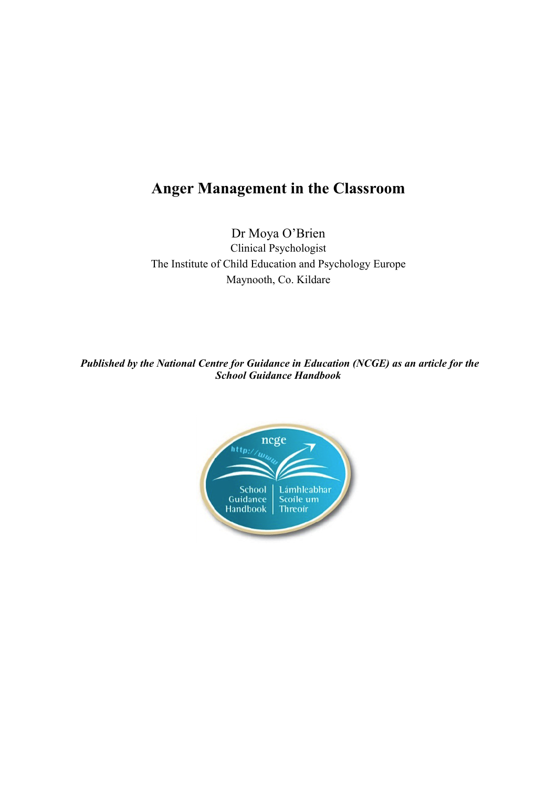# **Anger Management in the Classroom**

Dr Moya O'Brien Clinical Psychologist The Institute of Child Education and Psychology Europe Maynooth, Co. Kildare

*Published by the National Centre for Guidance in Education (NCGE) as an article for the School Guidance Handbook*

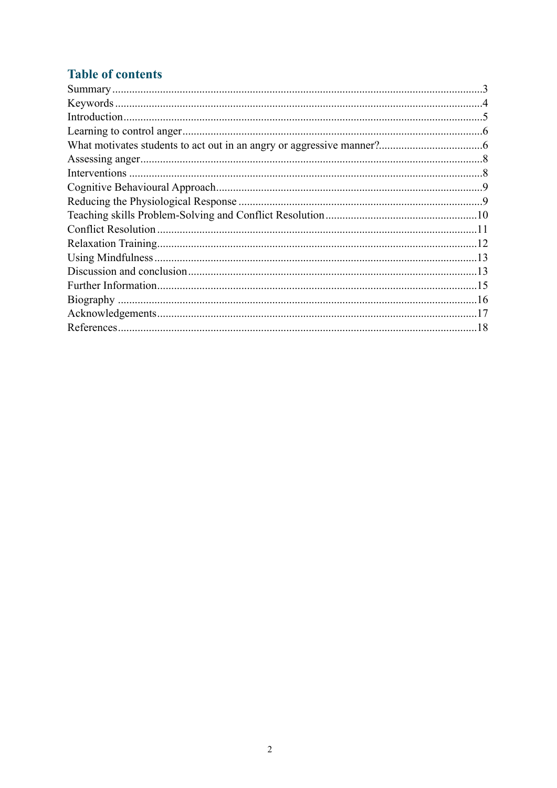# **Table of contents**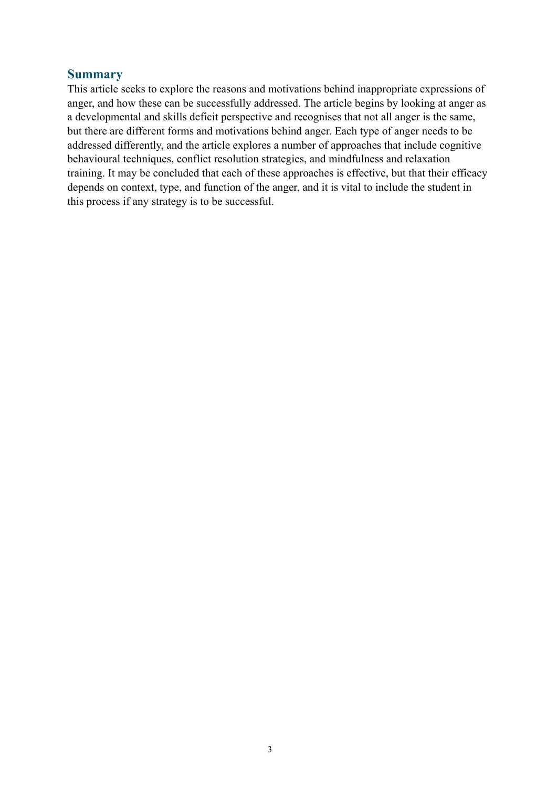#### <span id="page-2-0"></span>**Summary**

This article seeks to explore the reasons and motivations behind inappropriate expressions of anger, and how these can be successfully addressed. The article begins by looking at anger as a developmental and skills deficit perspective and recognises that not all anger is the same, but there are different forms and motivations behind anger. Each type of anger needs to be addressed differently, and the article explores a number of approaches that include cognitive behavioural techniques, conflict resolution strategies, and mindfulness and relaxation training. It may be concluded that each of these approaches is effective, but that their efficacy depends on context, type, and function of the anger, and it is vital to include the student in this process if any strategy is to be successful.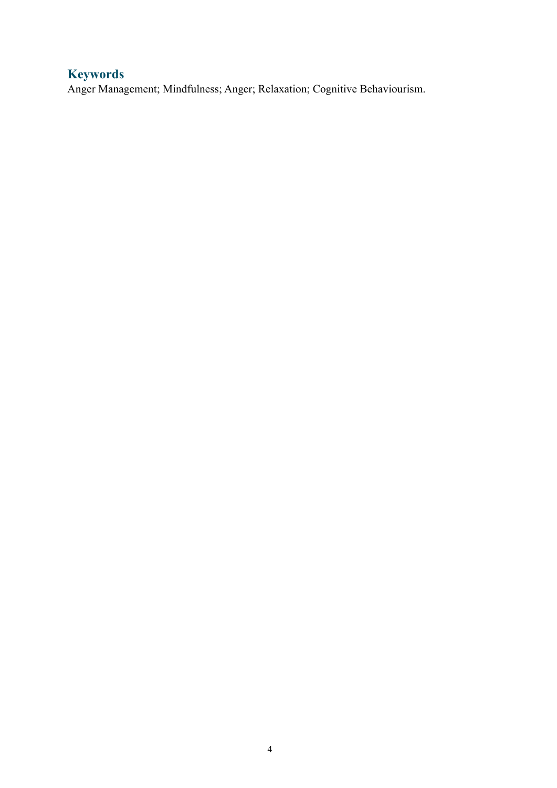# <span id="page-3-0"></span>**Keywords**

Anger Management; Mindfulness; Anger; Relaxation; Cognitive Behaviourism.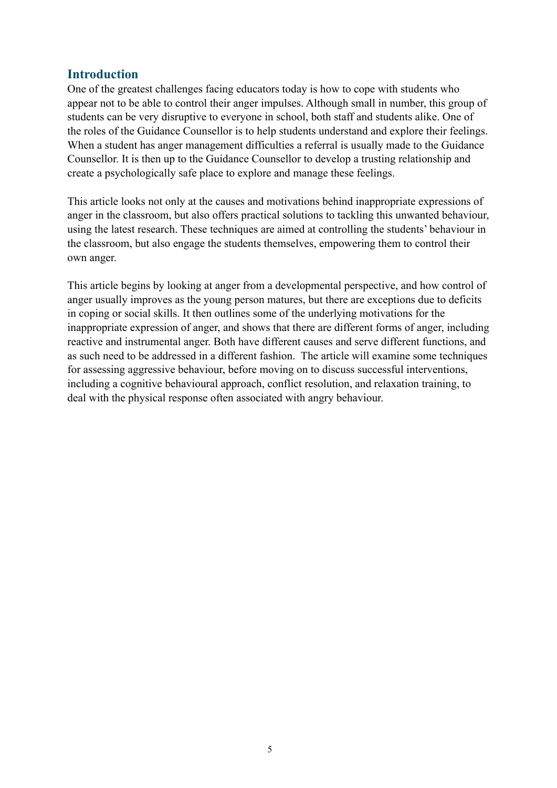### <span id="page-4-0"></span>**Introduction**

One of the greatest challenges facing educators today is how to cope with students who appear not to be able to control their anger impulses. Although small in number, this group of students can be very disruptive to everyone in school, both staff and students alike. One of the roles of the Guidance Counsellor is to help students understand and explore their feelings. When a student has anger management difficulties a referral is usually made to the Guidance Counsellor. It is then up to the Guidance Counsellor to develop a trusting relationship and create a psychologically safe place to explore and manage these feelings.

This article looks not only at the causes and motivations behind inappropriate expressions of anger in the classroom, but also offers practical solutions to tackling this unwanted behaviour, using the latest research. These techniques are aimed at controlling the students' behaviour in the classroom, but also engage the students themselves, empowering them to control their own anger.

This article begins by looking at anger from a developmental perspective, and how control of anger usually improves as the young person matures, but there are exceptions due to deficits in coping or social skills. It then outlines some of the underlying motivations for the inappropriate expression of anger, and shows that there are different forms of anger, including reactive and instrumental anger. Both have different causes and serve different functions, and as such need to be addressed in a different fashion. The article will examine some techniques for assessing aggressive behaviour, before moving on to discuss successful interventions, including a cognitive behavioural approach, conflict resolution, and relaxation training, to deal with the physical response often associated with angry behaviour.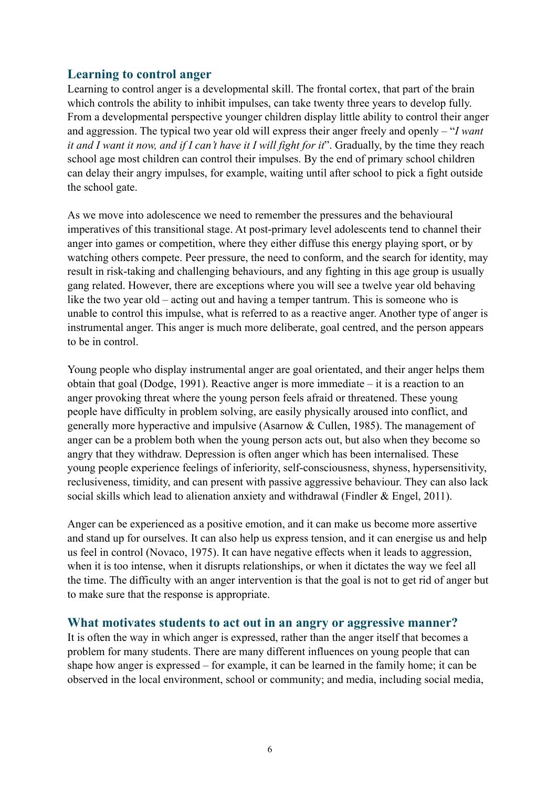### <span id="page-5-0"></span>**Learning to control anger**

Learning to control anger is a developmental skill. The frontal cortex, that part of the brain which controls the ability to inhibit impulses, can take twenty three years to develop fully. From a developmental perspective younger children display little ability to control their anger and aggression. The typical two year old will express their anger freely and openly – "*I want it and I want it now, and if I can't have it I will fight for it*". Gradually, by the time they reach school age most children can control their impulses. By the end of primary school children can delay their angry impulses, for example, waiting until after school to pick a fight outside the school gate.

As we move into adolescence we need to remember the pressures and the behavioural imperatives of this transitional stage. At post-primary level adolescents tend to channel their anger into games or competition, where they either diffuse this energy playing sport, or by watching others compete. Peer pressure, the need to conform, and the search for identity, may result in risk-taking and challenging behaviours, and any fighting in this age group is usually gang related. However, there are exceptions where you will see a twelve year old behaving like the two year old – acting out and having a temper tantrum. This is someone who is unable to control this impulse, what is referred to as a reactive anger. Another type of anger is instrumental anger. This anger is much more deliberate, goal centred, and the person appears to be in control.

Young people who display instrumental anger are goal orientated, and their anger helps them obtain that goal (Dodge, 1991). Reactive anger is more immediate – it is a reaction to an anger provoking threat where the young person feels afraid or threatened. These young people have difficulty in problem solving, are easily physically aroused into conflict, and generally more hyperactive and impulsive (Asarnow & Cullen, 1985). The management of anger can be a problem both when the young person acts out, but also when they become so angry that they withdraw. Depression is often anger which has been internalised. These young people experience feelings of inferiority, self-consciousness, shyness, hypersensitivity, reclusiveness, timidity, and can present with passive aggressive behaviour. They can also lack social skills which lead to alienation anxiety and withdrawal (Findler & Engel, 2011).

Anger can be experienced as a positive emotion, and it can make us become more assertive and stand up for ourselves. It can also help us express tension, and it can energise us and help us feel in control (Novaco, 1975). It can have negative effects when it leads to aggression, when it is too intense, when it disrupts relationships, or when it dictates the way we feel all the time. The difficulty with an anger intervention is that the goal is not to get rid of anger but to make sure that the response is appropriate.

#### <span id="page-5-1"></span>**What motivates students to act out in an angry or aggressive manner?**

It is often the way in which anger is expressed, rather than the anger itself that becomes a problem for many students. There are many different influences on young people that can shape how anger is expressed – for example, it can be learned in the family home; it can be observed in the local environment, school or community; and media, including social media,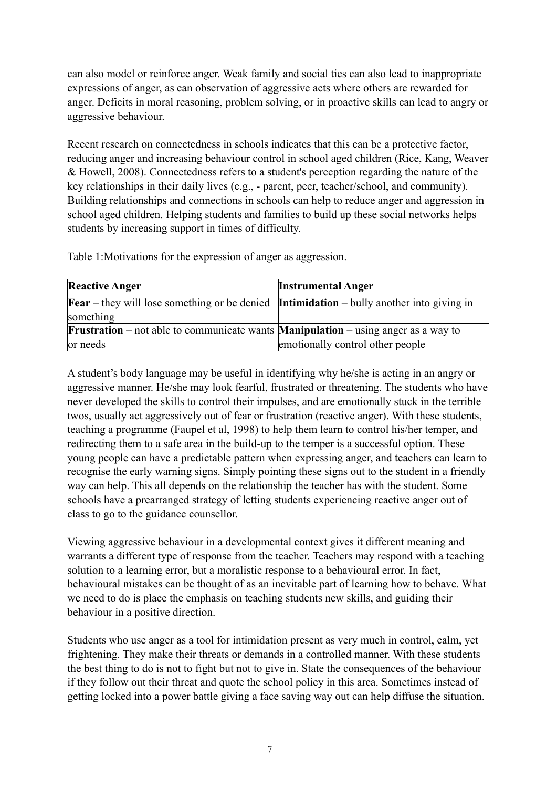can also model or reinforce anger. Weak family and social ties can also lead to inappropriate expressions of anger, as can observation of aggressive acts where others are rewarded for anger. Deficits in moral reasoning, problem solving, or in proactive skills can lead to angry or aggressive behaviour.

Recent research on connectedness in schools indicates that this can be a protective factor, reducing anger and increasing behaviour control in school aged children (Rice, Kang, Weaver & Howell, 2008). Connectedness refers to a student's perception regarding the nature of the key relationships in their daily lives (e.g., - parent, peer, teacher/school, and community). Building relationships and connections in schools can help to reduce anger and aggression in school aged children. Helping students and families to build up these social networks helps students by increasing support in times of difficulty.

Table 1:Motivations for the expression of anger as aggression.

| <b>Reactive Anger</b>                                                                                  | <b>Instrumental Anger</b>        |
|--------------------------------------------------------------------------------------------------------|----------------------------------|
| <b>Fear</b> – they will lose something or be denied <b>Intimidation</b> – bully another into giving in |                                  |
| something                                                                                              |                                  |
| <b>Frustration</b> – not able to communicate wants <b>Manipulation</b> – using anger as a way to       |                                  |
| or needs                                                                                               | emotionally control other people |

A student's body language may be useful in identifying why he/she is acting in an angry or aggressive manner. He/she may look fearful, frustrated or threatening. The students who have never developed the skills to control their impulses, and are emotionally stuck in the terrible twos, usually act aggressively out of fear or frustration (reactive anger). With these students, teaching a programme (Faupel et al, 1998) to help them learn to control his/her temper, and redirecting them to a safe area in the build-up to the temper is a successful option. These young people can have a predictable pattern when expressing anger, and teachers can learn to recognise the early warning signs. Simply pointing these signs out to the student in a friendly way can help. This all depends on the relationship the teacher has with the student. Some schools have a prearranged strategy of letting students experiencing reactive anger out of class to go to the guidance counsellor.

Viewing aggressive behaviour in a developmental context gives it different meaning and warrants a different type of response from the teacher. Teachers may respond with a teaching solution to a learning error, but a moralistic response to a behavioural error. In fact, behavioural mistakes can be thought of as an inevitable part of learning how to behave. What we need to do is place the emphasis on teaching students new skills, and guiding their behaviour in a positive direction.

Students who use anger as a tool for intimidation present as very much in control, calm, yet frightening. They make their threats or demands in a controlled manner. With these students the best thing to do is not to fight but not to give in. State the consequences of the behaviour if they follow out their threat and quote the school policy in this area. Sometimes instead of getting locked into a power battle giving a face saving way out can help diffuse the situation.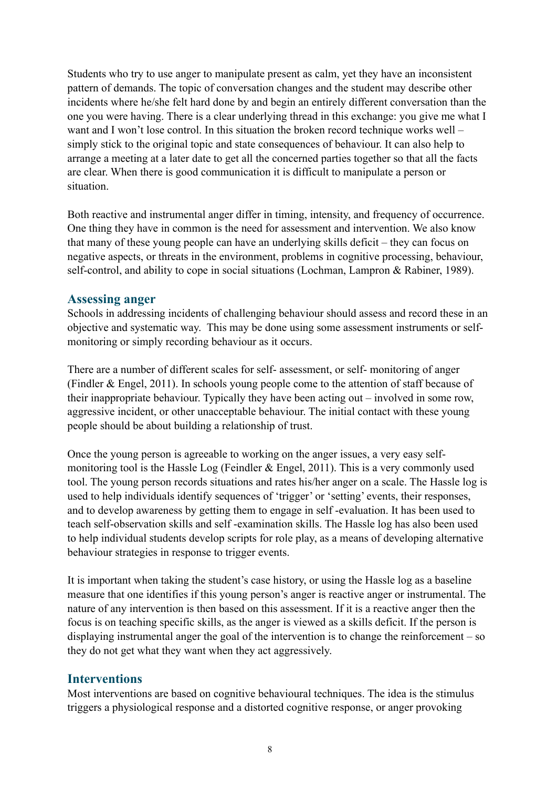Students who try to use anger to manipulate present as calm, yet they have an inconsistent pattern of demands. The topic of conversation changes and the student may describe other incidents where he/she felt hard done by and begin an entirely different conversation than the one you were having. There is a clear underlying thread in this exchange: you give me what I want and I won't lose control. In this situation the broken record technique works well – simply stick to the original topic and state consequences of behaviour. It can also help to arrange a meeting at a later date to get all the concerned parties together so that all the facts are clear. When there is good communication it is difficult to manipulate a person or situation.

Both reactive and instrumental anger differ in timing, intensity, and frequency of occurrence. One thing they have in common is the need for assessment and intervention. We also know that many of these young people can have an underlying skills deficit – they can focus on negative aspects, or threats in the environment, problems in cognitive processing, behaviour, self-control, and ability to cope in social situations (Lochman, Lampron & Rabiner, 1989).

#### <span id="page-7-0"></span>**Assessing anger**

Schools in addressing incidents of challenging behaviour should assess and record these in an objective and systematic way. This may be done using some assessment instruments or selfmonitoring or simply recording behaviour as it occurs.

There are a number of different scales for self- assessment, or self- monitoring of anger (Findler & Engel, 2011). In schools young people come to the attention of staff because of their inappropriate behaviour. Typically they have been acting out – involved in some row, aggressive incident, or other unacceptable behaviour. The initial contact with these young people should be about building a relationship of trust.

Once the young person is agreeable to working on the anger issues, a very easy selfmonitoring tool is the Hassle Log (Feindler  $&$  Engel, 2011). This is a very commonly used tool. The young person records situations and rates his/her anger on a scale. The Hassle log is used to help individuals identify sequences of 'trigger' or 'setting' events, their responses, and to develop awareness by getting them to engage in self -evaluation. It has been used to teach self-observation skills and self -examination skills. The Hassle log has also been used to help individual students develop scripts for role play, as a means of developing alternative behaviour strategies in response to trigger events.

It is important when taking the student's case history, or using the Hassle log as a baseline measure that one identifies if this young person's anger is reactive anger or instrumental. The nature of any intervention is then based on this assessment. If it is a reactive anger then the focus is on teaching specific skills, as the anger is viewed as a skills deficit. If the person is displaying instrumental anger the goal of the intervention is to change the reinforcement – so they do not get what they want when they act aggressively.

#### <span id="page-7-1"></span>**Interventions**

Most interventions are based on cognitive behavioural techniques. The idea is the stimulus triggers a physiological response and a distorted cognitive response, or anger provoking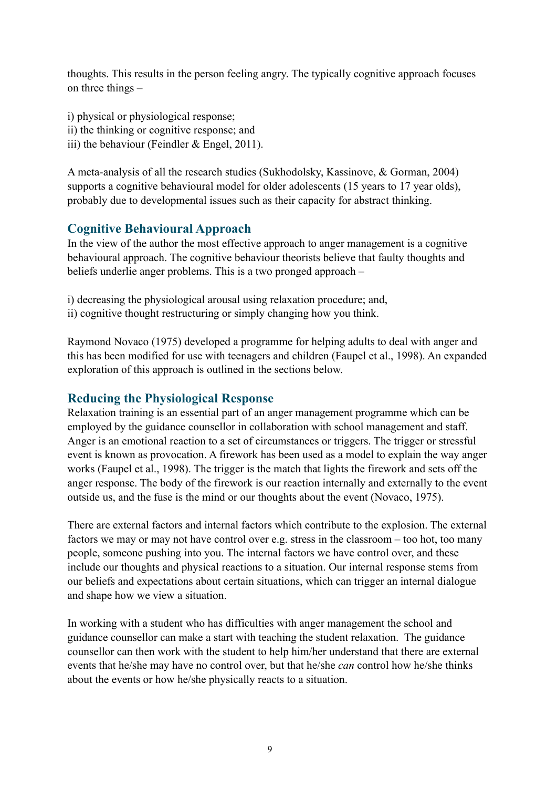thoughts. This results in the person feeling angry. The typically cognitive approach focuses on three things –

i) physical or physiological response;

- ii) the thinking or cognitive response; and
- iii) the behaviour (Feindler & Engel, 2011).

A meta-analysis of all the research studies (Sukhodolsky, Kassinove, & Gorman, 2004) supports a cognitive behavioural model for older adolescents (15 years to 17 year olds), probably due to developmental issues such as their capacity for abstract thinking.

## <span id="page-8-0"></span>**Cognitive Behavioural Approach**

In the view of the author the most effective approach to anger management is a cognitive behavioural approach. The cognitive behaviour theorists believe that faulty thoughts and beliefs underlie anger problems. This is a two pronged approach –

i) decreasing the physiological arousal using relaxation procedure; and,

ii) cognitive thought restructuring or simply changing how you think.

Raymond Novaco (1975) developed a programme for helping adults to deal with anger and this has been modified for use with teenagers and children (Faupel et al., 1998). An expanded exploration of this approach is outlined in the sections below.

## <span id="page-8-1"></span>**Reducing the Physiological Response**

Relaxation training is an essential part of an anger management programme which can be employed by the guidance counsellor in collaboration with school management and staff. Anger is an emotional reaction to a set of circumstances or triggers. The trigger or stressful event is known as provocation. A firework has been used as a model to explain the way anger works (Faupel et al., 1998). The trigger is the match that lights the firework and sets off the anger response. The body of the firework is our reaction internally and externally to the event outside us, and the fuse is the mind or our thoughts about the event (Novaco, 1975).

There are external factors and internal factors which contribute to the explosion. The external factors we may or may not have control over e.g. stress in the classroom – too hot, too many people, someone pushing into you. The internal factors we have control over, and these include our thoughts and physical reactions to a situation. Our internal response stems from our beliefs and expectations about certain situations, which can trigger an internal dialogue and shape how we view a situation.

In working with a student who has difficulties with anger management the school and guidance counsellor can make a start with teaching the student relaxation. The guidance counsellor can then work with the student to help him/her understand that there are external events that he/she may have no control over, but that he/she *can* control how he/she thinks about the events or how he/she physically reacts to a situation.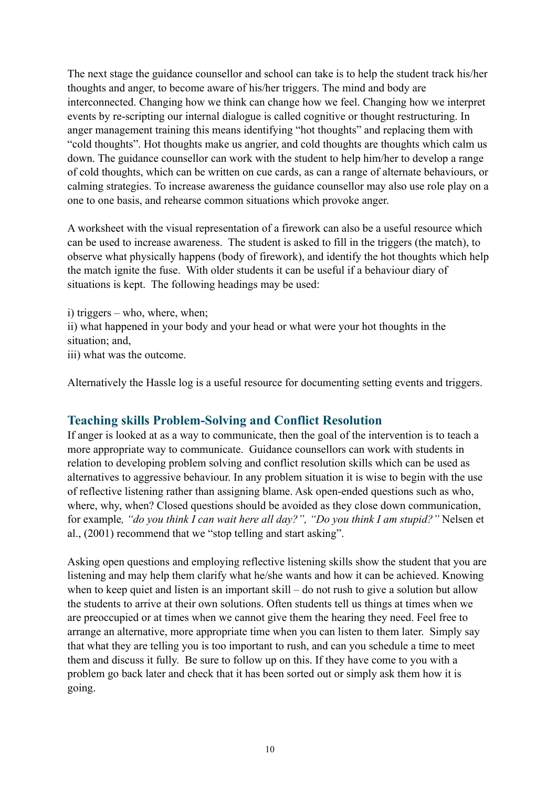The next stage the guidance counsellor and school can take is to help the student track his/her thoughts and anger, to become aware of his/her triggers. The mind and body are interconnected. Changing how we think can change how we feel. Changing how we interpret events by re-scripting our internal dialogue is called cognitive or thought restructuring. In anger management training this means identifying "hot thoughts" and replacing them with "cold thoughts". Hot thoughts make us angrier, and cold thoughts are thoughts which calm us down. The guidance counsellor can work with the student to help him/her to develop a range of cold thoughts, which can be written on cue cards, as can a range of alternate behaviours, or calming strategies. To increase awareness the guidance counsellor may also use role play on a one to one basis, and rehearse common situations which provoke anger.

A worksheet with the visual representation of a firework can also be a useful resource which can be used to increase awareness. The student is asked to fill in the triggers (the match), to observe what physically happens (body of firework), and identify the hot thoughts which help the match ignite the fuse. With older students it can be useful if a behaviour diary of situations is kept. The following headings may be used:

i) triggers – who, where, when; ii) what happened in your body and your head or what were your hot thoughts in the situation; and, iii) what was the outcome.

Alternatively the Hassle log is a useful resource for documenting setting events and triggers.

## <span id="page-9-0"></span>**Teaching skills Problem-Solving and Conflict Resolution**

If anger is looked at as a way to communicate, then the goal of the intervention is to teach a more appropriate way to communicate. Guidance counsellors can work with students in relation to developing problem solving and conflict resolution skills which can be used as alternatives to aggressive behaviour. In any problem situation it is wise to begin with the use of reflective listening rather than assigning blame. Ask open-ended questions such as who, where, why, when? Closed questions should be avoided as they close down communication, for example*, "do you think I can wait here all day?", "Do you think I am stupid?"* Nelsen et al., (2001) recommend that we "stop telling and start asking".

Asking open questions and employing reflective listening skills show the student that you are listening and may help them clarify what he/she wants and how it can be achieved. Knowing when to keep quiet and listen is an important skill – do not rush to give a solution but allow the students to arrive at their own solutions. Often students tell us things at times when we are preoccupied or at times when we cannot give them the hearing they need. Feel free to arrange an alternative, more appropriate time when you can listen to them later. Simply say that what they are telling you is too important to rush, and can you schedule a time to meet them and discuss it fully. Be sure to follow up on this. If they have come to you with a problem go back later and check that it has been sorted out or simply ask them how it is going.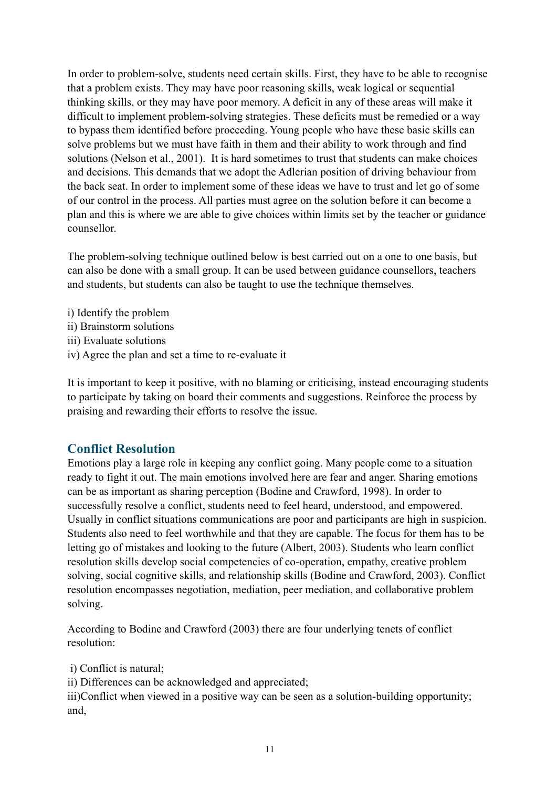In order to problem-solve, students need certain skills. First, they have to be able to recognise that a problem exists. They may have poor reasoning skills, weak logical or sequential thinking skills, or they may have poor memory. A deficit in any of these areas will make it difficult to implement problem-solving strategies. These deficits must be remedied or a way to bypass them identified before proceeding. Young people who have these basic skills can solve problems but we must have faith in them and their ability to work through and find solutions (Nelson et al., 2001). It is hard sometimes to trust that students can make choices and decisions. This demands that we adopt the Adlerian position of driving behaviour from the back seat. In order to implement some of these ideas we have to trust and let go of some of our control in the process. All parties must agree on the solution before it can become a plan and this is where we are able to give choices within limits set by the teacher or guidance counsellor.

The problem-solving technique outlined below is best carried out on a one to one basis, but can also be done with a small group. It can be used between guidance counsellors, teachers and students, but students can also be taught to use the technique themselves.

- i) Identify the problem
- ii) Brainstorm solutions
- iii) Evaluate solutions
- iv) Agree the plan and set a time to re-evaluate it

It is important to keep it positive, with no blaming or criticising, instead encouraging students to participate by taking on board their comments and suggestions. Reinforce the process by praising and rewarding their efforts to resolve the issue.

### <span id="page-10-0"></span>**Conflict Resolution**

Emotions play a large role in keeping any conflict going. Many people come to a situation ready to fight it out. The main emotions involved here are fear and anger. Sharing emotions can be as important as sharing perception (Bodine and Crawford, 1998). In order to successfully resolve a conflict, students need to feel heard, understood, and empowered. Usually in conflict situations communications are poor and participants are high in suspicion. Students also need to feel worthwhile and that they are capable. The focus for them has to be letting go of mistakes and looking to the future (Albert, 2003). Students who learn conflict resolution skills develop social competencies of co-operation, empathy, creative problem solving, social cognitive skills, and relationship skills (Bodine and Crawford, 2003). Conflict resolution encompasses negotiation, mediation, peer mediation, and collaborative problem solving.

According to Bodine and Crawford (2003) there are four underlying tenets of conflict resolution:

i) Conflict is natural;

ii) Differences can be acknowledged and appreciated;

iii)Conflict when viewed in a positive way can be seen as a solution-building opportunity; and,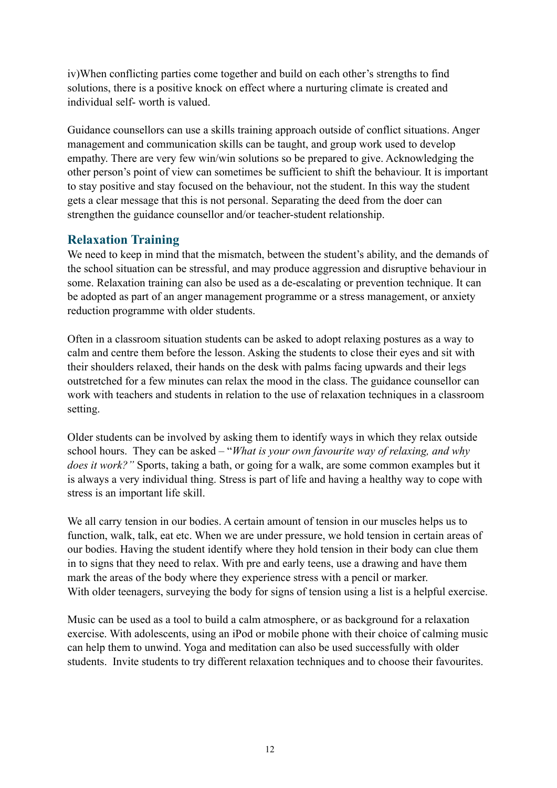iv)When conflicting parties come together and build on each other's strengths to find solutions, there is a positive knock on effect where a nurturing climate is created and individual self- worth is valued.

Guidance counsellors can use a skills training approach outside of conflict situations. Anger management and communication skills can be taught, and group work used to develop empathy. There are very few win/win solutions so be prepared to give. Acknowledging the other person's point of view can sometimes be sufficient to shift the behaviour. It is important to stay positive and stay focused on the behaviour, not the student. In this way the student gets a clear message that this is not personal. Separating the deed from the doer can strengthen the guidance counsellor and/or teacher-student relationship.

## <span id="page-11-0"></span>**Relaxation Training**

We need to keep in mind that the mismatch, between the student's ability, and the demands of the school situation can be stressful, and may produce aggression and disruptive behaviour in some. Relaxation training can also be used as a de-escalating or prevention technique. It can be adopted as part of an anger management programme or a stress management, or anxiety reduction programme with older students.

Often in a classroom situation students can be asked to adopt relaxing postures as a way to calm and centre them before the lesson. Asking the students to close their eyes and sit with their shoulders relaxed, their hands on the desk with palms facing upwards and their legs outstretched for a few minutes can relax the mood in the class. The guidance counsellor can work with teachers and students in relation to the use of relaxation techniques in a classroom setting.

Older students can be involved by asking them to identify ways in which they relax outside school hours. They can be asked – "*What is your own favourite way of relaxing, and why does it work?"* Sports, taking a bath, or going for a walk, are some common examples but it is always a very individual thing. Stress is part of life and having a healthy way to cope with stress is an important life skill.

We all carry tension in our bodies. A certain amount of tension in our muscles helps us to function, walk, talk, eat etc. When we are under pressure, we hold tension in certain areas of our bodies. Having the student identify where they hold tension in their body can clue them in to signs that they need to relax. With pre and early teens, use a drawing and have them mark the areas of the body where they experience stress with a pencil or marker. With older teenagers, surveying the body for signs of tension using a list is a helpful exercise.

Music can be used as a tool to build a calm atmosphere, or as background for a relaxation exercise. With adolescents, using an iPod or mobile phone with their choice of calming music can help them to unwind. Yoga and meditation can also be used successfully with older students. Invite students to try different relaxation techniques and to choose their favourites.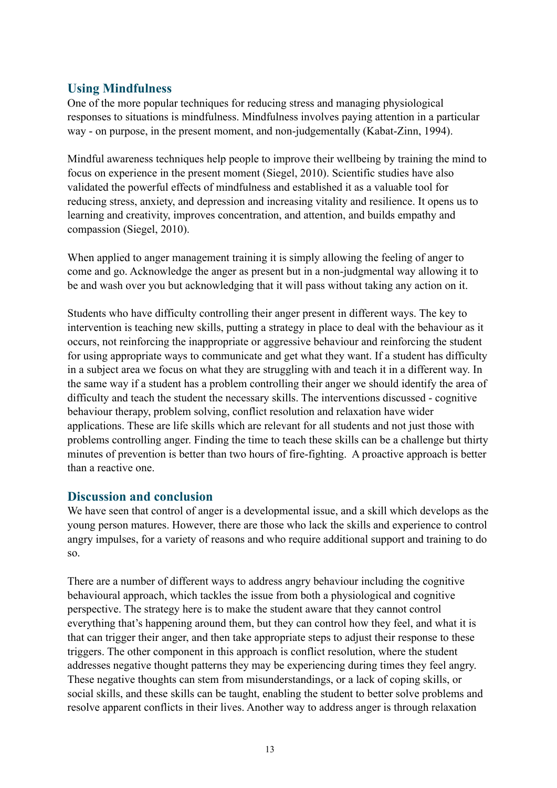# <span id="page-12-0"></span>**Using Mindfulness**

One of the more popular techniques for reducing stress and managing physiological responses to situations is mindfulness. Mindfulness involves paying attention in a particular way - on purpose, in the present moment, and non-judgementally (Kabat-Zinn, 1994).

Mindful awareness techniques help people to improve their wellbeing by training the mind to focus on experience in the present moment (Siegel, 2010). Scientific studies have also validated the powerful effects of mindfulness and established it as a valuable tool for reducing stress, anxiety, and depression and increasing vitality and resilience. It opens us to learning and creativity, improves concentration, and attention, and builds empathy and compassion (Siegel, 2010).

When applied to anger management training it is simply allowing the feeling of anger to come and go. Acknowledge the anger as present but in a non-judgmental way allowing it to be and wash over you but acknowledging that it will pass without taking any action on it.

Students who have difficulty controlling their anger present in different ways. The key to intervention is teaching new skills, putting a strategy in place to deal with the behaviour as it occurs, not reinforcing the inappropriate or aggressive behaviour and reinforcing the student for using appropriate ways to communicate and get what they want. If a student has difficulty in a subject area we focus on what they are struggling with and teach it in a different way. In the same way if a student has a problem controlling their anger we should identify the area of difficulty and teach the student the necessary skills. The interventions discussed - cognitive behaviour therapy, problem solving, conflict resolution and relaxation have wider applications. These are life skills which are relevant for all students and not just those with problems controlling anger. Finding the time to teach these skills can be a challenge but thirty minutes of prevention is better than two hours of fire-fighting. A proactive approach is better than a reactive one.

### <span id="page-12-1"></span>**Discussion and conclusion**

We have seen that control of anger is a developmental issue, and a skill which develops as the young person matures. However, there are those who lack the skills and experience to control angry impulses, for a variety of reasons and who require additional support and training to do so.

There are a number of different ways to address angry behaviour including the cognitive behavioural approach, which tackles the issue from both a physiological and cognitive perspective. The strategy here is to make the student aware that they cannot control everything that's happening around them, but they can control how they feel, and what it is that can trigger their anger, and then take appropriate steps to adjust their response to these triggers. The other component in this approach is conflict resolution, where the student addresses negative thought patterns they may be experiencing during times they feel angry. These negative thoughts can stem from misunderstandings, or a lack of coping skills, or social skills, and these skills can be taught, enabling the student to better solve problems and resolve apparent conflicts in their lives. Another way to address anger is through relaxation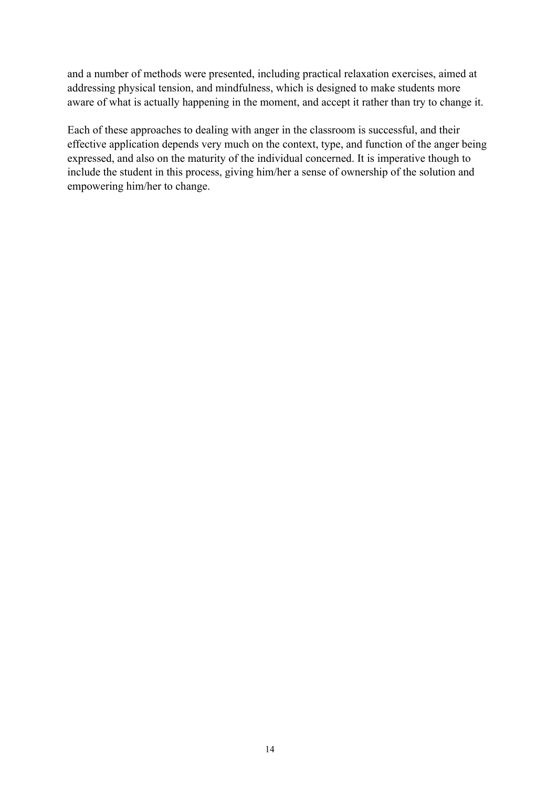and a number of methods were presented, including practical relaxation exercises, aimed at addressing physical tension, and mindfulness, which is designed to make students more aware of what is actually happening in the moment, and accept it rather than try to change it.

Each of these approaches to dealing with anger in the classroom is successful, and their effective application depends very much on the context, type, and function of the anger being expressed, and also on the maturity of the individual concerned. It is imperative though to include the student in this process, giving him/her a sense of ownership of the solution and empowering him/her to change.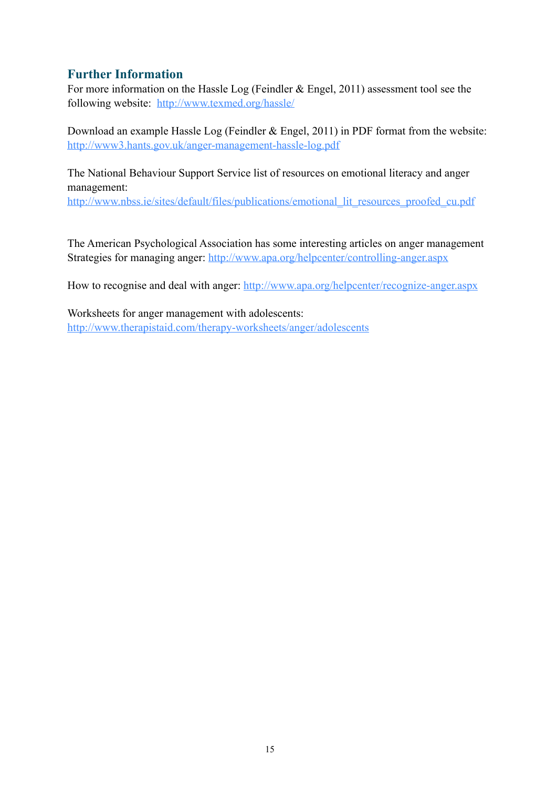## <span id="page-14-0"></span>**Further Information**

For more information on the Hassle Log (Feindler & Engel, 2011) assessment tool see the following website: <http://www.texmed.org/hassle/>

Download an example Hassle Log (Feindler & Engel, 2011) in PDF format from the website: <http://www3.hants.gov.uk/anger-management-hassle-log.pdf>

The National Behaviour Support Service list of resources on emotional literacy and anger management:

[http://www.nbss.ie/sites/default/files/publications/emotional\\_lit\\_resources\\_proofed\\_cu.pdf](http://www.nbss.ie/sites/default/files/publications/emotional_lit_resources_proofed_cu.pdf)

The American Psychological Association has some interesting articles on anger management Strategies for managing anger: <http://www.apa.org/helpcenter/controlling-anger.aspx>

How to recognise and deal with anger:<http://www.apa.org/helpcenter/recognize-anger.aspx>

Worksheets for anger management with adolescents: <http://www.therapistaid.com/therapy-worksheets/anger/adolescents>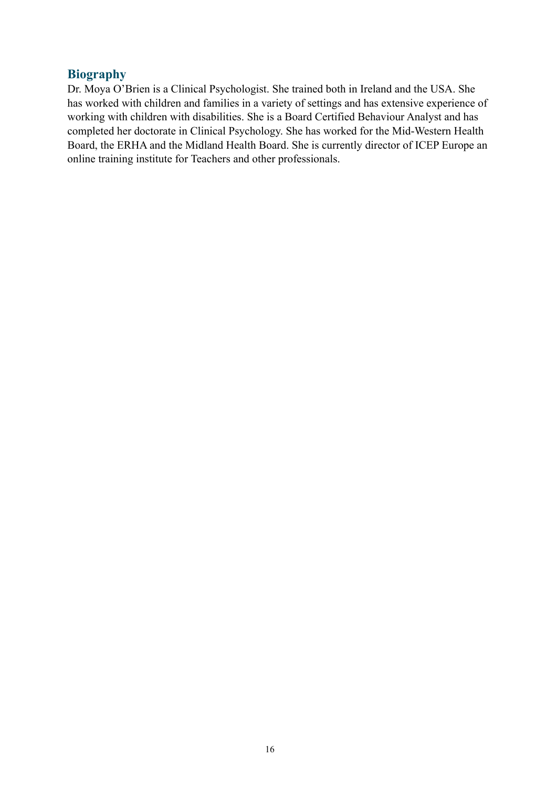### <span id="page-15-0"></span>**Biography**

Dr. Moya O'Brien is a Clinical Psychologist. She trained both in Ireland and the USA. She has worked with children and families in a variety of settings and has extensive experience of working with children with disabilities. She is a Board Certified Behaviour Analyst and has completed her doctorate in Clinical Psychology. She has worked for the Mid-Western Health Board, the ERHA and the Midland Health Board. She is currently director of ICEP Europe an online training institute for Teachers and other professionals.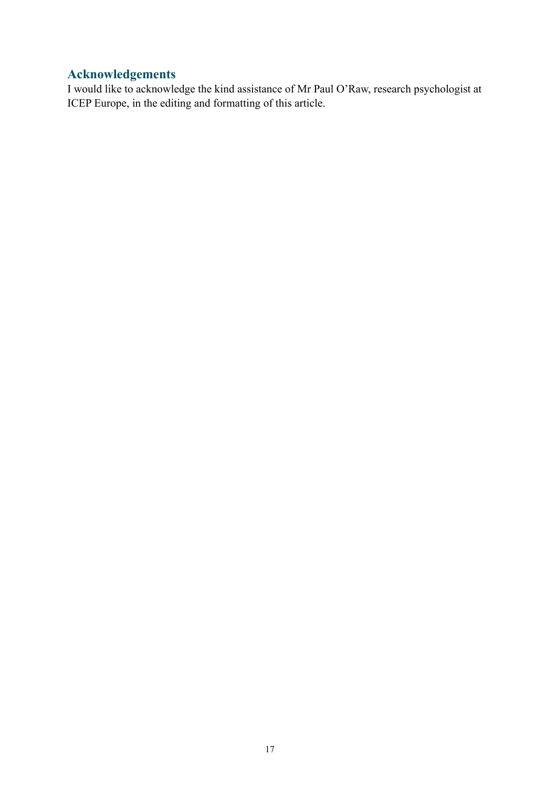# <span id="page-16-0"></span>**Acknowledgements**

I would like to acknowledge the kind assistance of Mr Paul O'Raw, research psychologist at ICEP Europe, in the editing and formatting of this article.